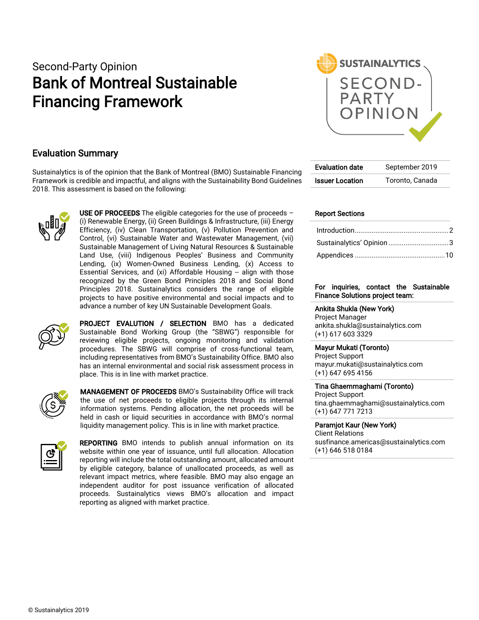# Second-Party Opinion Bank of Montreal Sustainable Financing Framework



### Evaluation Summary

Sustainalytics is of the opinion that the Bank of Montreal (BMO) Sustainable Financing Framework is credible and impactful, and aligns with the Sustainability Bond Guidelines 2018. This assessment is based on the following:



USE OF PROCEEDS The eligible categories for the use of proceeds  $-$ (i) Renewable Energy, (ii) Green Buildings & Infrastructure, (iii) Energy Efficiency, (iv) Clean Transportation, (v) Pollution Prevention and Control, (vi) Sustainable Water and Wastewater Management, (vii) Sustainable Management of Living Natural Resources & Sustainable Land Use, (viii) Indigenous Peoples' Business and Community Lending, (ix) Women-Owned Business Lending, (x) Access to Essential Services, and (xi) Affordable Housing -- align with those recognized by the Green Bond Principles 2018 and Social Bond Principles 2018. Sustainalytics considers the range of eligible projects to have positive environmental and social impacts and to advance a number of key UN Sustainable Development Goals.



PROJECT EVALUTION / SELECTION BMO has a dedicated Sustainable Bond Working Group (the "SBWG") responsible for reviewing eligible projects, ongoing monitoring and validation procedures. The SBWG will comprise of cross-functional team, including representatives from BMO's Sustainability Office. BMO also has an internal environmental and social risk assessment process in place. This is in line with market practice.



MANAGEMENT OF PROCEEDS BMO's Sustainability Office will track the use of net proceeds to eligible projects through its internal information systems. Pending allocation, the net proceeds will be held in cash or liquid securities in accordance with BMO's normal liquidity management policy. This is in line with market practice.



REPORTING BMO intends to publish annual information on its website within one year of issuance, until full allocation. Allocation reporting will include the total outstanding amount, allocated amount by eligible category, balance of unallocated proceeds, as well as relevant impact metrics, where feasible. BMO may also engage an independent auditor for post issuance verification of allocated proceeds. Sustainalytics views BMO's allocation and impact reporting as aligned with market practice.

| September 2019  |
|-----------------|
| Toronto, Canada |
|                 |

### Report Sections

#### For inquiries, contact the Sustainable Finance Solutions project team:

Ankita Shukla (New York) Project Manager [ankita.shukla@sustainalytics.com](mailto:ankita.shukla@sustainalytics.com) (+1) 617 603 3329

#### Mayur Mukati (Toronto)

Project Support [mayur.mukati@sustainalytics.com](mailto:mayur.mukati@sustainalytics.com) (+1) 647 695 4156

### Tina Ghaemmaghami (Toronto) Project Support

tina.ghaemmaghami@sustainalytics.com (+1) 647 771 7213

Paramjot Kaur (New York) Client Relations [susfinance.americas@sustainalytics.com](mailto:susfinance.americas@sustainalytics.com) (+1) 646 518 0184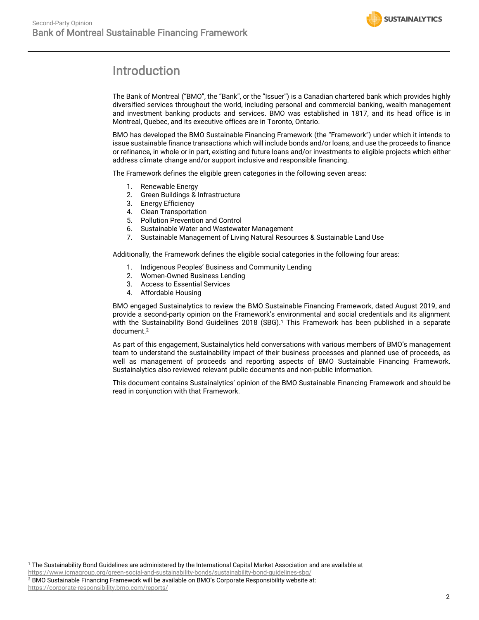

## <span id="page-1-0"></span>Introduction

The Bank of Montreal ("BMO", the "Bank", or the "Issuer") is a Canadian chartered bank which provides highly diversified services throughout the world, including personal and commercial banking, wealth management and investment banking products and services. BMO was established in 1817, and its head office is in Montreal, Quebec, and its executive offices are in Toronto, Ontario.

BMO has developed the BMO Sustainable Financing Framework (the "Framework") under which it intends to issue sustainable finance transactions which will include bonds and/or loans, and use the proceeds to finance or refinance, in whole or in part, existing and future loans and/or investments to eligible projects which either address climate change and/or support inclusive and responsible financing.

The Framework defines the eligible green categories in the following seven areas:

- 1. Renewable Energy
- 2. Green Buildings & Infrastructure
- 3. Energy Efficiency
- 4. Clean Transportation
- 5. Pollution Prevention and Control
- 6. Sustainable Water and Wastewater Management
- 7. Sustainable Management of Living Natural Resources & Sustainable Land Use

Additionally, the Framework defines the eligible social categories in the following four areas:

- 1. Indigenous Peoples' Business and Community Lending
- 2. Women-Owned Business Lending
- 3. Access to Essential Services
- 4. Affordable Housing

BMO engaged Sustainalytics to review the BMO Sustainable Financing Framework, dated August 2019, and provide a second-party opinion on the Framework's environmental and social credentials and its alignment with the Sustainability Bond Guidelines 2018 (SBG).<sup>1</sup> This Framework has been published in a separate document.<sup>2</sup>

As part of this engagement, Sustainalytics held conversations with various members of BMO's management team to understand the sustainability impact of their business processes and planned use of proceeds, as well as management of proceeds and reporting aspects of BMO Sustainable Financing Framework. Sustainalytics also reviewed relevant public documents and non-public information.

This document contains Sustainalytics' opinion of the BMO Sustainable Financing Framework and should be read in conjunction with that Framework.

<sup>1</sup> The Sustainability Bond Guidelines are administered by the International Capital Market Association and are available at <https://www.icmagroup.org/green-social-and-sustainability-bonds/sustainability-bond-guidelines-sbg/>

<sup>2</sup> BMO Sustainable Financing Framework will be available on BMO's Corporate Responsibility website at: https://corporate-responsibility.bmo.com/reports/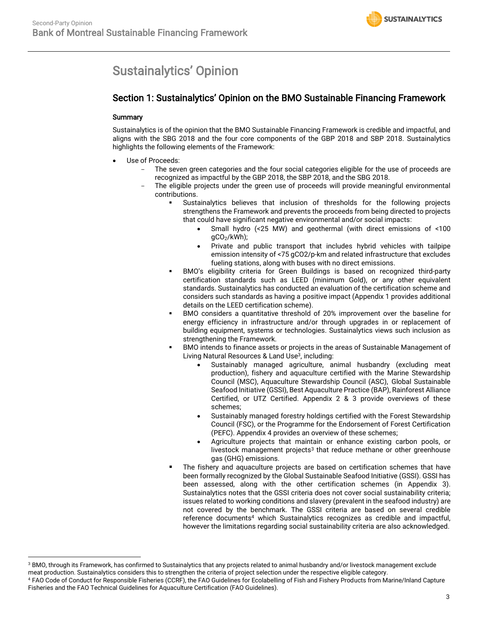## <span id="page-2-0"></span>Sustainalytics' Opinion

### Section 1: Sustainalytics' Opinion on the BMO Sustainable Financing Framework

### Summary

Sustainalytics is of the opinion that the BMO Sustainable Financing Framework is credible and impactful, and aligns with the SBG 2018 and the four core components of the GBP 2018 and SBP 2018. Sustainalytics highlights the following elements of the Framework:

- <span id="page-2-1"></span>Use of Proceeds:
	- The seven green categories and the four social categories eligible for the use of proceeds are recognized as impactful by the GBP 2018, the SBP 2018, and the SBG 2018.
	- The eligible projects under the green use of proceeds will provide meaningful environmental contributions.
		- Sustainalytics believes that inclusion of thresholds for the following projects strengthens the Framework and prevents the proceeds from being directed to projects that could have significant negative environmental and/or social impacts:
			- Small hydro (<25 MW) and geothermal (with direct emissions of <100  $gCO<sub>2</sub>/kWh$ ;
			- Private and public transport that includes hybrid vehicles with tailpipe emission intensity of <75 gCO2/p-km and related infrastructure that excludes fueling stations, along with buses with no direct emissions.
		- BMO's eligibility criteria for Green Buildings is based on recognized third-party certification standards such as LEED (minimum Gold), or any other equivalent standards. Sustainalytics has conducted an evaluation of the certification scheme and considers such standards as having a positive impact (Appendix 1 provides additional details on the LEED certification scheme).
		- BMO considers a quantitative threshold of 20% improvement over the baseline for energy efficiency in infrastructure and/or through upgrades in or replacement of building equipment, systems or technologies. Sustainalytics views such inclusion as strengthening the Framework.
		- BMO intends to finance assets or projects in the areas of Sustainable Management of Living Natural Resources & Land Use<sup>3</sup>, including:
			- Sustainably managed agriculture, animal husbandry (excluding meat production), fishery and aquaculture certified with the Marine Stewardship Council (MSC), Aquaculture Stewardship Council (ASC), Global Sustainable Seafood Initiative (GSSI), Best Aquaculture Practice (BAP), Rainforest Alliance Certified, or UTZ Certified. Appendix 2 & 3 provide overviews of these schemes;
			- Sustainably managed forestry holdings certified with the Forest Stewardship Council (FSC), or the Programme for the Endorsement of Forest Certification (PEFC). Appendix 4 provides an overview of these schemes;
			- Agriculture projects that maintain or enhance existing carbon pools, or livestock management projects<sup>[3](#page-2-1)</sup> that reduce methane or other greenhouse gas (GHG) emissions.
		- The fishery and aquaculture projects are based on certification schemes that have been formally recognized by the Global Sustainable Seafood Initiative (GSSI). GSSI has been assessed, along with the other certification schemes (in Appendix 3). Sustainalytics notes that the GSSI criteria does not cover social sustainability criteria; issues related to working conditions and slavery (prevalent in the seafood industry) are not covered by the benchmark. The GSSI criteria are based on several credible reference documents<sup>4</sup> which Sustainalytics recognizes as credible and impactful, however the limitations regarding social sustainability criteria are also acknowledged.

<sup>&</sup>lt;sup>3</sup> BMO, through its Framework, has confirmed to Sustainalytics that any projects related to animal husbandry and/or livestock management exclude meat production. Sustainalytics considers this to strengthen the criteria of project selection under the respective eligible category.

<sup>4</sup> FAO Code of Conduct for Responsible Fisheries (CCRF), the FAO Guidelines for Ecolabelling of Fish and Fishery Products from Marine/Inland Capture Fisheries and the FAO Technical Guidelines for Aquaculture Certification (FAO Guidelines).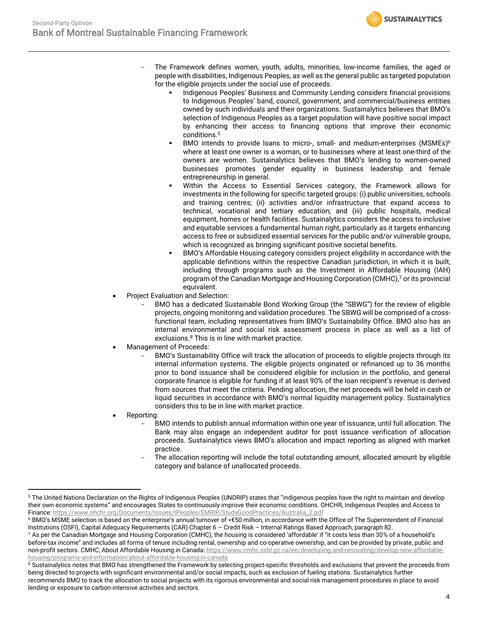- The Framework defines women, youth, adults, minorities, low-income families, the aged or people with disabilities, Indigenous Peoples, as well as the general public as targeted population for the eligible projects under the social use of proceeds.
	- Indigenous Peoples' Business and Community Lending considers financial provisions to Indigenous Peoples' band, council, government, and commercial/business entities owned by such individuals and their organizations. Sustainalytics believes that BMO's selection of Indigenous Peoples as a target population will have positive social impact by enhancing their access to financing options that improve their economic conditions. 5

**SUSTAINALYTICS** 

- BMO intends to provide loans to micro-, small- and medium-enterprises  $(MSMEs)^6$ where at least one owner is a woman, or to businesses where at least one-third of the owners are women. Sustainalytics believes that BMO's lending to women-owned businesses promotes gender equality in business leadership and female entrepreneurship in general.
- Within the Access to Essential Services category, the Framework allows for investments in the following for specific targeted groups: (i) public universities, schools and training centres; (ii) activities and/or infrastructure that expand access to technical, vocational and tertiary education; and (iii) public hospitals, medical equipment, homes or health facilities. Sustainalytics considers the access to inclusive and equitable services a fundamental human right, particularly as it targets enhancing access to free or subsidized essential services for the public and/or vulnerable groups, which is recognized as bringing significant positive societal benefits.
- BMO's Affordable Housing category considers project eligibility in accordance with the applicable definitions within the respective Canadian jurisdiction, in which it is built, including through programs such as the Investment in Affordable Housing (IAH) program of the Canadian Mortgage and Housing Corporation (CMHC), <sup>7</sup> or its provincial equivalent.
- Project Evaluation and Selection:
	- BMO has a dedicated Sustainable Bond Working Group (the "SBWG") for the review of eligible projects, ongoing monitoring and validation procedures. The SBWG will be comprised of a crossfunctional team, including representatives from BMO's Sustainability Office. BMO also has an internal environmental and social risk assessment process in place as well as a list of exclusions. <sup>8</sup> This is in line with market practice.
- Management of Proceeds:
	- BMO's Sustainability Office will track the allocation of proceeds to eligible projects through its internal information systems. The eligible projects originated or refinanced up to 36 months prior to bond issuance shall be considered eligible for inclusion in the portfolio, and general corporate finance is eligible for funding if at least 90% of the loan recipient's revenue is derived from sources that meet the criteria. Pending allocation, the net proceeds will be held in cash or liquid securities in accordance with BMO's normal liquidity management policy. Sustainalytics considers this to be in line with market practice.
- Reporting:
	- BMO intends to publish annual information within one year of issuance, until full allocation. The Bank may also engage an independent auditor for post issuance verification of allocation proceeds. Sustainalytics views BMO's allocation and impact reporting as aligned with market practice.
	- The allocation reporting will include the total outstanding amount, allocated amount by eligible category and balance of unallocated proceeds.

<sup>5</sup> The United Nations Declaration on the Rights of Indigenous Peoples (UNDRIP) states that "indigenous peoples have the right to maintain and develop their own economic systems" and encourages States to continuously improve their economic conditions. OHCHR, Indigenous Peoples and Access to Finance: https://www.ohchr.org/Documents/Issues/IPeoples/EMRIP/StudyGoodPractices/Australia\_2.pdf

<sup>6</sup> BMO's MSME selection is based on the enterprise's annual turnover of <€50 million, in accordance with the Office of The Superintendent of Financial Institutions (OSFI), Capital Adequacy Requirements (CAR) Chapter 6 – Credit Risk – Internal Ratings Based Approach, paragraph 82.

<sup>7</sup> As per the Canadian Mortgage and Housing Corporation (CMHC), the housing is considered 'affordable' if "it costs less than 30% of a household's before-tax income" and includes all forms of tenure including rental, ownership and co-operative ownership, and can be provided by private, public and non-profit sectors. CMHC, About Affordable Housing in Canada[: https://www.cmhc-schl.gc.ca/en/developing-and-renovating/develop-new-affordable](https://www.cmhc-schl.gc.ca/en/developing-and-renovating/develop-new-affordable-housing/programs-and-information/about-affordable-housing-in-canada)[housing/programs-and-information/about-affordable-housing-in-canada](https://www.cmhc-schl.gc.ca/en/developing-and-renovating/develop-new-affordable-housing/programs-and-information/about-affordable-housing-in-canada)

<sup>&</sup>lt;sup>8</sup> Sustainalytics notes that BMO has strengthened the Framework by selecting project-specific thresholds and exclusions that prevent the proceeds from being directed to projects with significant environmental and/or social impacts, such as exclusion of fueling stations. Sustainalytics further recommends BMO to track the allocation to social projects with its rigorous environmental and social risk management procedures in place to avoid lending or exposure to carbon-intensive activities and sectors.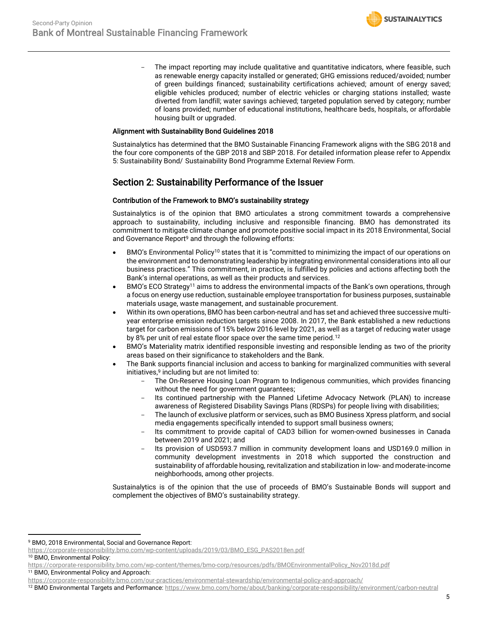The impact reporting may include qualitative and quantitative indicators, where feasible, such as renewable energy capacity installed or generated; GHG emissions reduced/avoided; number of green buildings financed; sustainability certifications achieved; amount of energy saved; eligible vehicles produced; number of electric vehicles or charging stations installed; waste diverted from landfill; water savings achieved; targeted population served by category; number of loans provided; number of educational institutions, healthcare beds, hospitals, or affordable housing built or upgraded.

### Alignment with Sustainability Bond Guidelines 2018

Sustainalytics has determined that the BMO Sustainable Financing Framework aligns with the SBG 2018 and the four core components of the GBP 2018 and SBP 2018. For detailed information please refer to Appendix 5: Sustainability Bond/ Sustainability Bond Programme External Review Form.

### Section 2: Sustainability Performance of the Issuer

### Contribution of the Framework to BMO's sustainability strategy

Sustainalytics is of the opinion that BMO articulates a strong commitment towards a comprehensive approach to sustainability, including inclusive and responsible financing. BMO has demonstrated its commitment to mitigate climate change and promote positive social impact in its 2018 Environmental, Social and Governance Report<sup>9</sup> and through the following efforts:

- <span id="page-4-0"></span>BMO's Environmental Policy<sup>10</sup> states that it is "committed to minimizing the impact of our operations on the environment and to demonstrating leadership by integrating environmental considerations into all our business practices." This commitment, in practice, is fulfilled by policies and actions affecting both the Bank's internal operations, as well as their products and services.
- BMO's ECO Strategy<sup>11</sup> aims to address the environmental impacts of the Bank's own operations, through a focus on energy use reduction, sustainable employee transportation for business purposes, sustainable materials usage, waste management, and sustainable procurement.
- Within its own operations, BMO has been carbon-neutral and has set and achieved three successive multiyear enterprise emission reduction targets since 2008. In 2017, the Bank established a new reductions target for carbon emissions of 15% below 2016 level by 2021, as well as a target of reducing water usage by 8% per unit of real estate floor space over the same time period.<sup>12</sup>
- BMO's Materiality matrix identified responsible investing and responsible lending as two of the priority areas based on their significance to stakeholders and the Bank.
- The Bank supports financial inclusion and access to banking for marginalized communities with several  $initiatives<sub>1</sub><sup>9</sup>$  $initiatives<sub>1</sub><sup>9</sup>$  $initiatives<sub>1</sub><sup>9</sup>$  including but are not limited to:
	- The On-Reserve Housing Loan Program to Indigenous communities, which provides financing without the need for government guarantees;
	- Its continued partnership with the Planned Lifetime Advocacy Network (PLAN) to increase awareness of Registered Disability Savings Plans (RDSPs) for people living with disabilities;
	- The launch of exclusive platform or services, such as BMO Business Xpress platform, and social media engagements specifically intended to support small business owners;
	- Its commitment to provide capital of CAD3 billion for women-owned businesses in Canada between 2019 and 2021; and
	- Its provision of USD593.7 million in community development loans and USD169.0 million in community development investments in 2018 which supported the construction and sustainability of affordable housing, revitalization and stabilization in low- and moderate-income neighborhoods, among other projects.

Sustainalytics is of the opinion that the use of proceeds of BMO's Sustainable Bonds will support and complement the objectives of BMO's sustainability strategy.

<sup>10</sup> BMO, Environmental Policy:

<sup>9</sup> BMO, 2018 Environmental, Social and Governance Report:

[https://corporate-responsibility.bmo.com/wp-content/uploads/2019/03/BMO\\_ESG\\_PAS2018en.pdf](https://corporate-responsibility.bmo.com/wp-content/uploads/2019/03/BMO_ESG_PAS2018en.pdf)

https://corporate-responsibility.bmo.com/wp-content/themes/bmo-corp/resources/pdfs/BMOEnvironmentalPolicy\_Nov2018d.pdf

<sup>11</sup> BMO, Environmental Policy and Approach:

https://corporate-responsibility.bmo.com/our-practices/environmental-stewardship/environmental-policy-and-approach/

<sup>&</sup>lt;sup>12</sup> BMO Environmental Targets and Performance: https://www.bmo.com/home/about/banking/corporate-responsibility/environment/carbon-neutral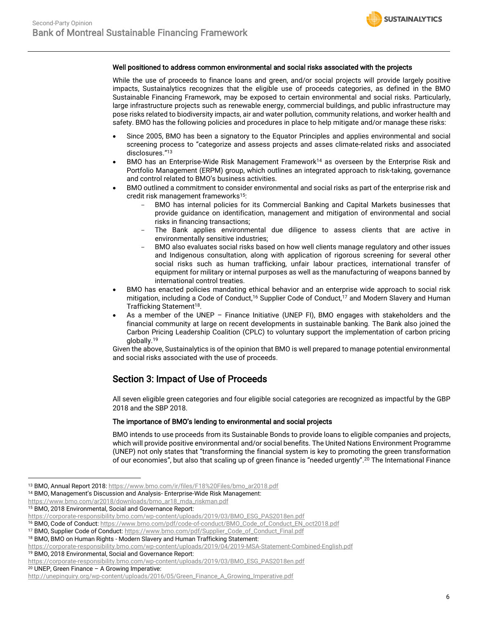#### Well positioned to address common environmental and social risks associated with the projects

While the use of proceeds to finance loans and green, and/or social projects will provide largely positive impacts, Sustainalytics recognizes that the eligible use of proceeds categories, as defined in the BMO Sustainable Financing Framework, may be exposed to certain environmental and social risks. Particularly, large infrastructure projects such as renewable energy, commercial buildings, and public infrastructure may pose risks related to biodiversity impacts, air and water pollution, community relations, and worker health and safety. BMO has the following policies and procedures in place to help mitigate and/or manage these risks:

- Since 2005, BMO has been a signatory to the Equator Principles and applies environmental and social screening process to "categorize and assess projects and asses climate-related risks and associated disclosures." 13
- BMO has an Enterprise-Wide Risk Management Framework<sup>14</sup> as overseen by the Enterprise Risk and Portfolio Management (ERPM) group, which outlines an integrated approach to risk-taking, governance and control related to BMO's business activities.
- BMO outlined a commitment to consider environmental and social risks as part of the enterprise risk and credit risk management frameworks<sup>15</sup>:
	- BMO has internal policies for its Commercial Banking and Capital Markets businesses that provide guidance on identification, management and mitigation of environmental and social risks in financing transactions;
	- The Bank applies environmental due diligence to assess clients that are active in environmentally sensitive industries;
	- BMO also evaluates social risks based on how well clients manage regulatory and other issues and Indigenous consultation, along with application of rigorous screening for several other social risks such as human trafficking, unfair labour practices, international transfer of equipment for military or internal purposes as well as the manufacturing of weapons banned by international control treaties.
- BMO has enacted policies mandating ethical behavior and an enterprise wide approach to social risk mitigation, including a Code of Conduct,<sup>16</sup> Supplier Code of Conduct,<sup>17</sup> and Modern Slavery and Human Trafficking Statement<sup>18</sup>.
- As a member of the UNEP Finance Initiative (UNEP FI), BMO engages with stakeholders and the financial community at large on recent developments in sustainable banking. The Bank also joined the Carbon Pricing Leadership Coalition (CPLC) to voluntary support the implementation of carbon pricing globally. 19

Given the above, Sustainalytics is of the opinion that BMO is well prepared to manage potential environmental and social risks associated with the use of proceeds.

### Section 3: Impact of Use of Proceeds

All seven eligible green categories and four eligible social categories are recognized as impactful by the GBP 2018 and the SBP 2018.

#### The importance of BMO's lending to environmental and social projects

BMO intends to use proceeds from its Sustainable Bonds to provide loans to eligible companies and projects, which will provide positive environmental and/or social benefits. The United Nations Environment Programme (UNEP) not only states that "transforming the financial system is key to promoting the green transformation of our economies", but also that scaling up of green finance is "needed urgently".<sup>20</sup> The International Finance

<sup>13</sup> BMO, Annual Report 2018: https://www.bmo.com/ir/files/F18%20Files/bmo\_ar2018.pdf

<sup>14</sup> BMO, Management's Discussion and Analysis- Enterprise-Wide Risk Management:

https://www.bmo.com/ar2018/downloads/bmo\_ar18\_mda\_riskman.pdf

<sup>15</sup> BMO, 2018 Environmental, Social and Governance Report:

[https://corporate-responsibility.bmo.com/wp-content/uploads/2019/03/BMO\\_ESG\\_PAS2018en.pdf](https://corporate-responsibility.bmo.com/wp-content/uploads/2019/03/BMO_ESG_PAS2018en.pdf)

<sup>16</sup> BMO, Code of Conduct: https://www.bmo.com/pdf/code-of-conduct/BMO\_Code\_of\_Conduct\_EN\_oct2018.pdf

<sup>17</sup> BMO, Supplier Code of Conduct: https://www.bmo.com/pdf/Supplier\_Code\_of\_Conduct\_Final.pdf

<sup>18</sup> BMO, BMO on Human Rights - Modern Slavery and Human Trafficking Statement:

https://corporate-responsibility.bmo.com/wp-content/uploads/2019/04/2019-MSA-Statement-Combined-English.pdf

<sup>19</sup> BMO, 2018 Environmental, Social and Governance Report:

[https://corporate-responsibility.bmo.com/wp-content/uploads/2019/03/BMO\\_ESG\\_PAS2018en.pdf](https://corporate-responsibility.bmo.com/wp-content/uploads/2019/03/BMO_ESG_PAS2018en.pdf)

 $20$  UNEP, Green Finance – A Growing Imperative:

http://unepinquiry.org/wp-content/uploads/2016/05/Green\_Finance\_A\_Growing\_Imperative.pdf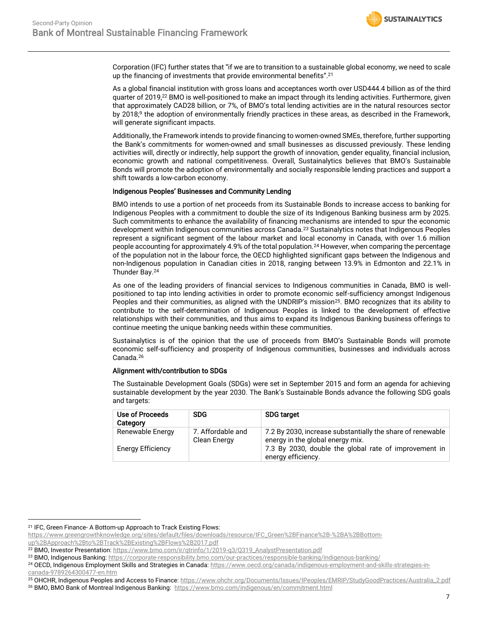Corporation (IFC) further states that "if we are to transition to a sustainable global economy, we need to scale up the financing of investments that provide environmental benefits". 21

As a global financial institution with gross loans and acceptances worth over USD444.4 billion as of the third quarter of 2019,<sup>22</sup> BMO is well-positioned to make an impact through its lending activities. Furthermore, given that approximately CAD28 billion, or 7%, of BMO's total lending activities are in the natural resources sector by 201[8;](#page-4-0) <sup>9</sup> the adoption of environmentally friendly practices in these areas, as described in the Framework, will generate significant impacts.

Additionally, the Framework intends to provide financing to women-owned SMEs, therefore, further supporting the Bank's commitments for women-owned and small businesses as discussed previously. These lending activities will, directly or indirectly, help support the growth of innovation, gender equality, financial inclusion, economic growth and national competitiveness. Overall, Sustainalytics believes that BMO's Sustainable Bonds will promote the adoption of environmentally and socially responsible lending practices and support a shift towards a low-carbon economy.

### Indigenous Peoples' Businesses and Community Lending

BMO intends to use a portion of net proceeds from its Sustainable Bonds to increase access to banking for Indigenous Peoples with a commitment to double the size of its Indigenous Banking business arm by 2025. Such commitments to enhance the availability of financing mechanisms are intended to spur the economic development within Indigenous communities across Canada.<sup>23</sup> Sustainalytics notes that Indigenous Peoples represent a significant segment of the labour market and local economy in Canada, with over 1.6 million people accounting for approximately 4.9% of the total population.<sup>24</sup> However, when comparing the percentage of the population not in the labour force, the OECD highlighted significant gaps between the Indigenous and non-Indigenous population in Canadian cities in 2018, ranging between 13.9% in Edmonton and 22.1% in Thunder Bay.[24](#page-6-0) 

<span id="page-6-0"></span>As one of the leading providers of financial services to Indigenous communities in Canada, BMO is wellpositioned to tap into lending activities in order to promote economic self-sufficiency amongst Indigenous Peoples and their communities, as aligned with the UNDRIP's mission<sup>25</sup>. BMO recognizes that its ability to contribute to the self-determination of Indigenous Peoples is linked to the development of effective relationships with their communities, and thus aims to expand its Indigenous Banking business offerings to continue meeting the unique banking needs within these communities.

Sustainalytics is of the opinion that the use of proceeds from BMO's Sustainable Bonds will promote economic self-sufficiency and prosperity of Indigenous communities, businesses and individuals across Canada.<sup>26</sup>

### Alignment with/contribution to SDGs

The Sustainable Development Goals (SDGs) were set in September 2015 and form an agenda for achieving sustainable development by the year 2030. The Bank's Sustainable Bonds advance the following SDG goals and targets:

| Use of Proceeds<br>Category | <b>SDG</b>                        | <b>SDG target</b>                                                                              |
|-----------------------------|-----------------------------------|------------------------------------------------------------------------------------------------|
| Renewable Energy            | 7. Affordable and<br>Clean Energy | 7.2 By 2030, increase substantially the share of renewable<br>energy in the global energy mix. |
| <b>Energy Efficiency</b>    |                                   | 7.3 By 2030, double the global rate of improvement in<br>energy efficiency.                    |

<sup>&</sup>lt;sup>21</sup> IFC, Green Finance- A Bottom-up Approach to Track Existing Flows:

https://www.greengrowthknowledge.org/sites/default/files/downloads/resource/IFC\_Green%2BFinance%2B-%2BA%2BBottom-

up%2BApproach%2Bto%2BTrack%2BExisting%2BFlows%2B2017.pdf

<sup>&</sup>lt;sup>22</sup> BMO, Investor Presentation: https://www.bmo.com/ir/qtrinfo/1/2019-q3/Q319\_AnalystPresentation.pdf

<sup>&</sup>lt;sup>23</sup> BMO, Indigenous Banking[: https://corporate-responsibility.bmo.com/our-practices/responsible-banking/indigenous-banking/](https://corporate-responsibility.bmo.com/our-practices/responsible-banking/indigenous-banking/)

<sup>&</sup>lt;sup>24</sup> OECD, Indigenous Employment Skills and Strategies in Canada[: https://www.oecd.org/canada/indigenous-employment-and-skills-strategies-in](https://www.oecd.org/canada/indigenous-employment-and-skills-strategies-in-canada-9789264300477-en.htm)[canada-9789264300477-en.htm](https://www.oecd.org/canada/indigenous-employment-and-skills-strategies-in-canada-9789264300477-en.htm)

<sup>25</sup> OHCHR, Indigenous Peoples and Access to Finance: https://www.ohchr.org/Documents/Issues/IPeoples/EMRIP/StudyGoodPractices/Australia\_2.pdf

<sup>&</sup>lt;sup>26</sup> BMO, BMO Bank of Montreal Indigenous Banking:<https://www.bmo.com/indigenous/en/commitment.html>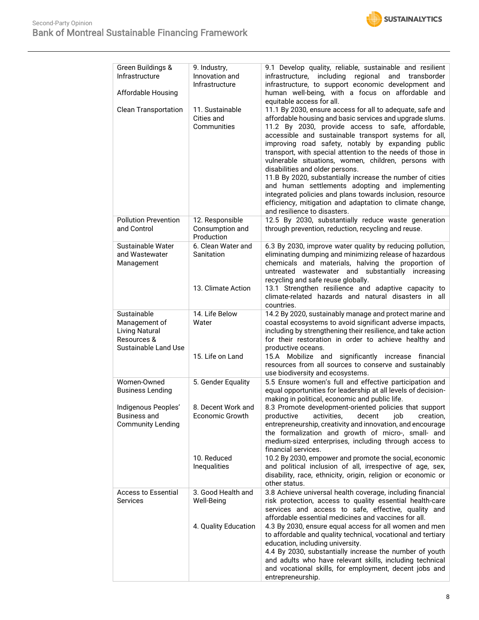

| Green Buildings &                                                                                   | 9. Industry,                                     | 9.1 Develop quality, reliable, sustainable and resilient                                                                                                                                                                                                                                                                                                         |
|-----------------------------------------------------------------------------------------------------|--------------------------------------------------|------------------------------------------------------------------------------------------------------------------------------------------------------------------------------------------------------------------------------------------------------------------------------------------------------------------------------------------------------------------|
| Infrastructure                                                                                      | Innovation and<br>Infrastructure                 | including<br>regional<br>infrastructure,<br>and<br>transborder<br>infrastructure, to support economic development and                                                                                                                                                                                                                                            |
| Affordable Housing                                                                                  |                                                  | human well-being, with a focus on affordable and<br>equitable access for all.                                                                                                                                                                                                                                                                                    |
| <b>Clean Transportation</b>                                                                         | 11. Sustainable<br>Cities and<br>Communities     | 11.1 By 2030, ensure access for all to adequate, safe and<br>affordable housing and basic services and upgrade slums.<br>11.2 By 2030, provide access to safe, affordable,                                                                                                                                                                                       |
|                                                                                                     |                                                  | accessible and sustainable transport systems for all,<br>improving road safety, notably by expanding public<br>transport, with special attention to the needs of those in<br>vulnerable situations, women, children, persons with<br>disabilities and older persons.                                                                                             |
|                                                                                                     |                                                  | 11.B By 2020, substantially increase the number of cities<br>and human settlements adopting and implementing<br>integrated policies and plans towards inclusion, resource<br>efficiency, mitigation and adaptation to climate change,<br>and resilience to disasters.                                                                                            |
| <b>Pollution Prevention</b><br>and Control                                                          | 12. Responsible<br>Consumption and<br>Production | 12.5 By 2030, substantially reduce waste generation<br>through prevention, reduction, recycling and reuse.                                                                                                                                                                                                                                                       |
| Sustainable Water<br>and Wastewater<br>Management                                                   | 6. Clean Water and<br>Sanitation                 | 6.3 By 2030, improve water quality by reducing pollution,<br>eliminating dumping and minimizing release of hazardous<br>chemicals and materials, halving the proportion of<br>untreated wastewater and substantially increasing<br>recycling and safe reuse globally.                                                                                            |
|                                                                                                     | 13. Climate Action                               | 13.1 Strengthen resilience and adaptive capacity to<br>climate-related hazards and natural disasters in all<br>countries.                                                                                                                                                                                                                                        |
| Sustainable<br>Management of<br><b>Living Natural</b><br>Resources &<br><b>Sustainable Land Use</b> | 14. Life Below<br>Water                          | 14.2 By 2020, sustainably manage and protect marine and<br>coastal ecosystems to avoid significant adverse impacts,<br>including by strengthening their resilience, and take action<br>for their restoration in order to achieve healthy and<br>productive oceans.                                                                                               |
|                                                                                                     | 15. Life on Land                                 | 15.A Mobilize and significantly increase financial<br>resources from all sources to conserve and sustainably<br>use biodiversity and ecosystems.                                                                                                                                                                                                                 |
| Women-Owned<br><b>Business Lending</b>                                                              | 5. Gender Equality                               | 5.5 Ensure women's full and effective participation and<br>equal opportunities for leadership at all levels of decision-<br>making in political, economic and public life.                                                                                                                                                                                       |
| Indigenous Peoples'   8. Decent Work and<br><b>Business and</b><br><b>Community Lending</b>         | Economic Growth                                  | 8.3 Promote development-oriented policies that support<br>activities,<br>decent<br>productive<br>job<br>creation,<br>entrepreneurship, creativity and innovation, and encourage<br>the formalization and growth of micro-, small- and<br>medium-sized enterprises, including through access to<br>financial services.                                            |
|                                                                                                     | 10. Reduced<br><b>Inequalities</b>               | 10.2 By 2030, empower and promote the social, economic<br>and political inclusion of all, irrespective of age, sex,<br>disability, race, ethnicity, origin, religion or economic or<br>other status.                                                                                                                                                             |
| <b>Access to Essential</b><br><b>Services</b>                                                       | 3. Good Health and<br>Well-Being                 | 3.8 Achieve universal health coverage, including financial<br>risk protection, access to quality essential health-care<br>services and access to safe, effective, quality and<br>affordable essential medicines and vaccines for all.                                                                                                                            |
|                                                                                                     | 4. Quality Education                             | 4.3 By 2030, ensure equal access for all women and men<br>to affordable and quality technical, vocational and tertiary<br>education, including university.<br>4.4 By 2030, substantially increase the number of youth<br>and adults who have relevant skills, including technical<br>and vocational skills, for employment, decent jobs and<br>entrepreneurship. |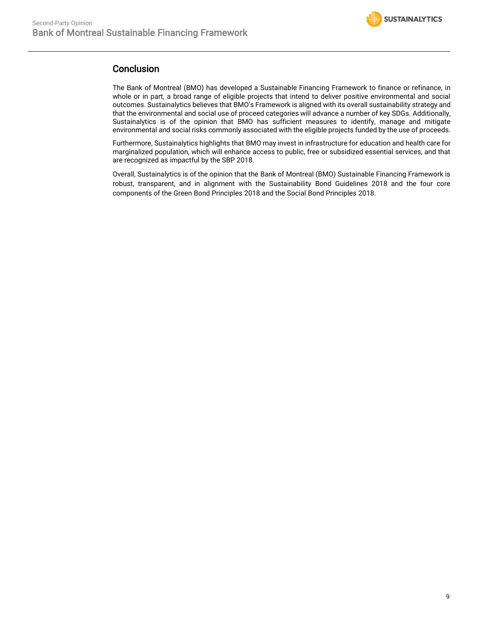

### **Conclusion**

The Bank of Montreal (BMO) has developed a Sustainable Financing Framework to finance or refinance, in whole or in part, a broad range of eligible projects that intend to deliver positive environmental and social outcomes. Sustainalytics believes that BMO's Framework is aligned with its overall sustainability strategy and that the environmental and social use of proceed categories will advance a number of key SDGs. Additionally, Sustainalytics is of the opinion that BMO has sufficient measures to identify, manage and mitigate environmental and social risks commonly associated with the eligible projects funded by the use of proceeds.

Furthermore, Sustainalytics highlights that BMO may invest in infrastructure for education and health care for marginalized population, which will enhance access to public, free or subsidized essential services, and that are recognized as impactful by the SBP 2018.

Overall, Sustainalytics is of the opinion that the Bank of Montreal (BMO) Sustainable Financing Framework is robust, transparent, and in alignment with the Sustainability Bond Guidelines 2018 and the four core components of the Green Bond Principles 2018 and the Social Bond Principles 2018.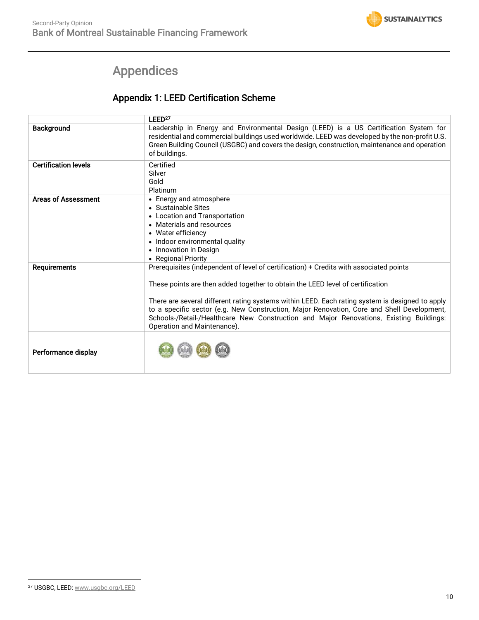

## Appendices

## Appendix 1: LEED Certification Scheme

<span id="page-9-0"></span>

|                             | LEED <sup>27</sup>                                                                                                                                                                                                                                                                                                                                                                                                                                                                                  |
|-----------------------------|-----------------------------------------------------------------------------------------------------------------------------------------------------------------------------------------------------------------------------------------------------------------------------------------------------------------------------------------------------------------------------------------------------------------------------------------------------------------------------------------------------|
| <b>Background</b>           | Leadership in Energy and Environmental Design (LEED) is a US Certification System for<br>residential and commercial buildings used worldwide. LEED was developed by the non-profit U.S.<br>Green Building Council (USGBC) and covers the design, construction, maintenance and operation<br>of buildings.                                                                                                                                                                                           |
| <b>Certification levels</b> | Certified<br>Silver<br>Gold<br>Platinum                                                                                                                                                                                                                                                                                                                                                                                                                                                             |
| <b>Areas of Assessment</b>  | • Energy and atmosphere<br>• Sustainable Sites<br>• Location and Transportation<br>• Materials and resources<br>• Water efficiency<br>• Indoor environmental quality<br>• Innovation in Design<br>• Regional Priority                                                                                                                                                                                                                                                                               |
| <b>Requirements</b>         | Prerequisites (independent of level of certification) + Credits with associated points<br>These points are then added together to obtain the LEED level of certification<br>There are several different rating systems within LEED. Each rating system is designed to apply<br>to a specific sector (e.g. New Construction, Major Renovation, Core and Shell Development,<br>Schools-/Retail-/Healthcare New Construction and Major Renovations, Existing Buildings:<br>Operation and Maintenance). |
| Performance display         |                                                                                                                                                                                                                                                                                                                                                                                                                                                                                                     |

<sup>27</sup> USGBC, LEED[: www.usgbc.org/LEED](http://www.usgbc.org/LEED)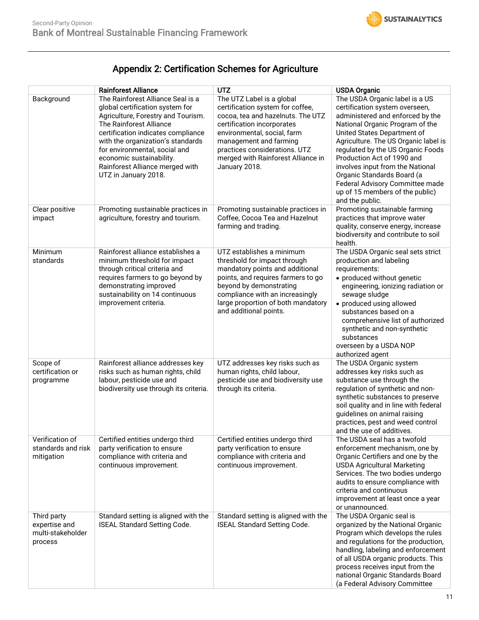

## Appendix 2: Certification Schemes for Agriculture

|                                                              | <b>Rainforest Alliance</b>                                                                                                                                                                                                                                                                                                               | <b>UTZ</b>                                                                                                                                                                                                                                                                        | <b>USDA Organic</b>                                                                                                                                                                                                                                                                                                                                                                                                                          |
|--------------------------------------------------------------|------------------------------------------------------------------------------------------------------------------------------------------------------------------------------------------------------------------------------------------------------------------------------------------------------------------------------------------|-----------------------------------------------------------------------------------------------------------------------------------------------------------------------------------------------------------------------------------------------------------------------------------|----------------------------------------------------------------------------------------------------------------------------------------------------------------------------------------------------------------------------------------------------------------------------------------------------------------------------------------------------------------------------------------------------------------------------------------------|
| Background                                                   | The Rainforest Alliance Seal is a<br>global certification system for<br>Agriculture, Forestry and Tourism.<br>The Rainforest Alliance<br>certification indicates compliance<br>with the organization's standards<br>for environmental, social and<br>economic sustainability.<br>Rainforest Alliance merged with<br>UTZ in January 2018. | The UTZ Label is a global<br>certification system for coffee,<br>cocoa, tea and hazelnuts. The UTZ<br>certification incorporates<br>environmental, social, farm<br>management and farming<br>practices considerations. UTZ<br>merged with Rainforest Alliance in<br>January 2018. | The USDA Organic label is a US<br>certification system overseen,<br>administered and enforced by the<br>National Organic Program of the<br>United States Department of<br>Agriculture. The US Organic label is<br>regulated by the US Organic Foods<br>Production Act of 1990 and<br>involves input from the National<br>Organic Standards Board (a<br>Federal Advisory Committee made<br>up of 15 members of the public)<br>and the public. |
| Clear positive<br>impact                                     | Promoting sustainable practices in<br>agriculture, forestry and tourism.                                                                                                                                                                                                                                                                 | Promoting sustainable practices in<br>Coffee, Cocoa Tea and Hazelnut<br>farming and trading.                                                                                                                                                                                      | Promoting sustainable farming<br>practices that improve water<br>quality, conserve energy, increase<br>biodiversity and contribute to soil<br>health.                                                                                                                                                                                                                                                                                        |
| Minimum<br>standards                                         | Rainforest alliance establishes a<br>minimum threshold for impact<br>through critical criteria and<br>requires farmers to go beyond by<br>demonstrating improved<br>sustainability on 14 continuous<br>improvement criteria.                                                                                                             | UTZ establishes a minimum<br>threshold for impact through<br>mandatory points and additional<br>points, and requires farmers to go<br>beyond by demonstrating<br>compliance with an increasingly<br>large proportion of both mandatory<br>and additional points.                  | The USDA Organic seal sets strict<br>production and labeling<br>requirements:<br>• produced without genetic<br>engineering, ionizing radiation or<br>sewage sludge<br>• produced using allowed<br>substances based on a<br>comprehensive list of authorized<br>synthetic and non-synthetic<br>substances<br>overseen by a USDA NOP<br>authorized agent                                                                                       |
| Scope of<br>certification or<br>programme                    | Rainforest alliance addresses key<br>risks such as human rights, child<br>labour, pesticide use and<br>biodiversity use through its criteria.                                                                                                                                                                                            | UTZ addresses key risks such as<br>human rights, child labour,<br>pesticide use and biodiversity use<br>through its criteria.                                                                                                                                                     | The USDA Organic system<br>addresses key risks such as<br>substance use through the<br>regulation of synthetic and non-<br>synthetic substances to preserve<br>soil quality and in line with federal<br>guidelines on animal raising<br>practices, pest and weed control<br>and the use of additives.                                                                                                                                        |
| Verification of<br>standards and risk<br>mitigation          | Certified entities undergo third<br>party verification to ensure<br>compliance with criteria and<br>continuous improvement.                                                                                                                                                                                                              | Certified entities undergo third<br>party verification to ensure<br>compliance with criteria and<br>continuous improvement.                                                                                                                                                       | The USDA seal has a twofold<br>enforcement mechanism, one by<br>Organic Certifiers and one by the<br><b>USDA Agricultural Marketing</b><br>Services. The two bodies undergo<br>audits to ensure compliance with<br>criteria and continuous<br>improvement at least once a year<br>or unannounced.                                                                                                                                            |
| Third party<br>expertise and<br>multi-stakeholder<br>process | Standard setting is aligned with the<br><b>ISEAL Standard Setting Code.</b>                                                                                                                                                                                                                                                              | Standard setting is aligned with the<br><b>ISEAL Standard Setting Code.</b>                                                                                                                                                                                                       | The USDA Organic seal is<br>organized by the National Organic<br>Program which develops the rules<br>and regulations for the production,<br>handling, labeling and enforcement<br>of all USDA organic products. This<br>process receives input from the<br>national Organic Standards Board<br>(a Federal Advisory Committee                                                                                                                 |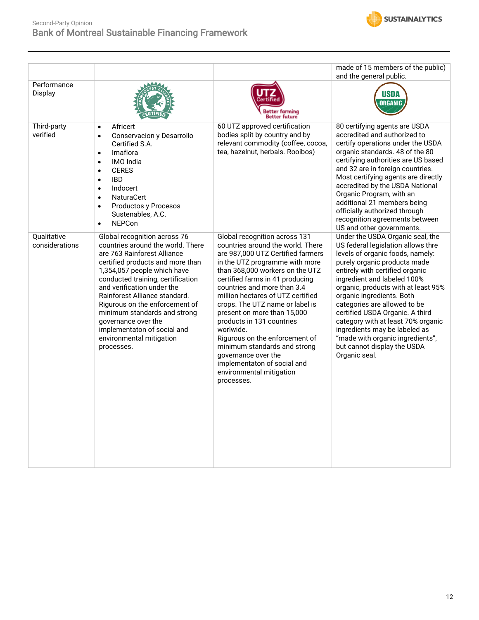

|                               |                                                                                                                                                                                                                                                                                                                                                                                                                                           |                                                                                                                                                                                                                                                                                                                                                                                                                                                                                                                                                                   | made of 15 members of the public)<br>and the general public.                                                                                                                                                                                                                                                                                                                                                                                                                                                   |
|-------------------------------|-------------------------------------------------------------------------------------------------------------------------------------------------------------------------------------------------------------------------------------------------------------------------------------------------------------------------------------------------------------------------------------------------------------------------------------------|-------------------------------------------------------------------------------------------------------------------------------------------------------------------------------------------------------------------------------------------------------------------------------------------------------------------------------------------------------------------------------------------------------------------------------------------------------------------------------------------------------------------------------------------------------------------|----------------------------------------------------------------------------------------------------------------------------------------------------------------------------------------------------------------------------------------------------------------------------------------------------------------------------------------------------------------------------------------------------------------------------------------------------------------------------------------------------------------|
| Performance<br>Display        |                                                                                                                                                                                                                                                                                                                                                                                                                                           | Better farming<br><b>Better future</b>                                                                                                                                                                                                                                                                                                                                                                                                                                                                                                                            | USDA<br>ORGANIC                                                                                                                                                                                                                                                                                                                                                                                                                                                                                                |
| Third-party<br>verified       | Africert<br>$\bullet$<br>Conservacion y Desarrollo<br>$\bullet$<br>Certified S.A.<br>Imaflora<br>$\bullet$<br>IMO India<br>$\bullet$<br><b>CERES</b><br>$\bullet$<br><b>IBD</b><br>$\bullet$<br>Indocert<br>$\bullet$<br><b>NaturaCert</b><br>$\bullet$<br>Productos y Procesos<br>$\bullet$<br>Sustenables, A.C.<br><b>NEPCon</b><br>$\bullet$                                                                                           | 60 UTZ approved certification<br>bodies split by country and by<br>relevant commodity (coffee, cocoa,<br>tea, hazelnut, herbals. Rooibos)                                                                                                                                                                                                                                                                                                                                                                                                                         | 80 certifying agents are USDA<br>accredited and authorized to<br>certify operations under the USDA<br>organic standards. 48 of the 80<br>certifying authorities are US based<br>and 32 are in foreign countries.<br>Most certifying agents are directly<br>accredited by the USDA National<br>Organic Program, with an<br>additional 21 members being<br>officially authorized through<br>recognition agreements between<br>US and other governments.                                                          |
| Qualitative<br>considerations | Global recognition across 76<br>countries around the world. There<br>are 763 Rainforest Alliance<br>certified products and more than<br>1,354,057 people which have<br>conducted training, certification<br>and verification under the<br>Rainforest Alliance standard.<br>Rigurous on the enforcement of<br>minimum standards and strong<br>governance over the<br>implementaton of social and<br>environmental mitigation<br>processes. | Global recognition across 131<br>countries around the world. There<br>are 987,000 UTZ Certified farmers<br>in the UTZ programme with more<br>than 368,000 workers on the UTZ<br>certified farms in 41 producing<br>countries and more than 3.4<br>million hectares of UTZ certified<br>crops. The UTZ name or label is<br>present on more than 15,000<br>products in 131 countries<br>worlwide.<br>Rigurous on the enforcement of<br>minimum standards and strong<br>governance over the<br>implementaton of social and<br>environmental mitigation<br>processes. | Under the USDA Organic seal, the<br>US federal legislation allows thre<br>levels of organic foods, namely:<br>purely organic products made<br>entirely with certified organic<br>ingredient and labeled 100%<br>organic, products with at least 95%<br>organic ingredients. Both<br>categories are allowed to be<br>certified USDA Organic. A third<br>category with at least 70% organic<br>ingredients may be labeled as<br>"made with organic ingredients",<br>but cannot display the USDA<br>Organic seal. |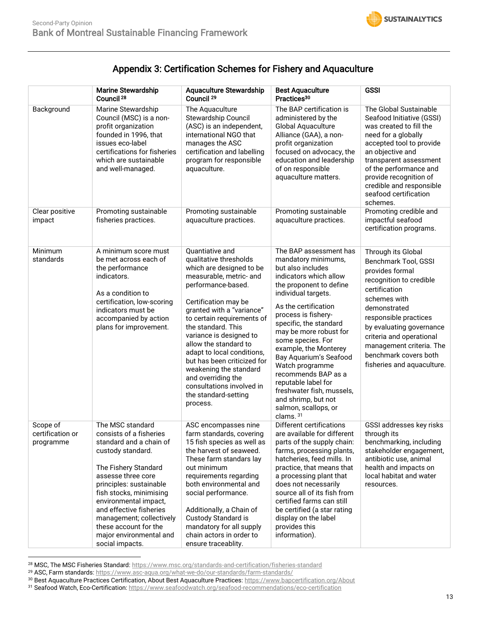## Appendix 3: Certification Schemes for Fishery and Aquaculture

|                                           | <b>Marine Stewardship</b><br>Council <sup>28</sup>                                                                                                                                                                                                                                                                                                     | <b>Aquaculture Stewardship</b><br>Council <sup>29</sup>                                                                                                                                                                                                                                                                                                                                                                                                           | <b>Best Aquaculture</b><br>Practices <sup>30</sup>                                                                                                                                                                                                                                                                                                                                                                                                                                  | <b>GSSI</b>                                                                                                                                                                                                                                                                                                   |
|-------------------------------------------|--------------------------------------------------------------------------------------------------------------------------------------------------------------------------------------------------------------------------------------------------------------------------------------------------------------------------------------------------------|-------------------------------------------------------------------------------------------------------------------------------------------------------------------------------------------------------------------------------------------------------------------------------------------------------------------------------------------------------------------------------------------------------------------------------------------------------------------|-------------------------------------------------------------------------------------------------------------------------------------------------------------------------------------------------------------------------------------------------------------------------------------------------------------------------------------------------------------------------------------------------------------------------------------------------------------------------------------|---------------------------------------------------------------------------------------------------------------------------------------------------------------------------------------------------------------------------------------------------------------------------------------------------------------|
| Background                                | Marine Stewardship<br>Council (MSC) is a non-<br>profit organization<br>founded in 1996, that<br>issues eco-label<br>certifications for fisheries<br>which are sustainable<br>and well-managed.                                                                                                                                                        | The Aquaculture<br><b>Stewardship Council</b><br>(ASC) is an independent,<br>international NGO that<br>manages the ASC<br>certification and labelling<br>program for responsible<br>aquaculture.                                                                                                                                                                                                                                                                  | The BAP certification is<br>administered by the<br>Global Aquaculture<br>Alliance (GAA), a non-<br>profit organization<br>focused on advocacy, the<br>education and leadership<br>of on responsible<br>aquaculture matters.                                                                                                                                                                                                                                                         | The Global Sustainable<br>Seafood Initiative (GSSI)<br>was created to fill the<br>need for a globally<br>accepted tool to provide<br>an objective and<br>transparent assessment<br>of the performance and<br>provide recognition of<br>credible and responsible<br>seafood certification<br>schemes.          |
| Clear positive<br>impact                  | Promoting sustainable<br>fisheries practices.                                                                                                                                                                                                                                                                                                          | Promoting sustainable<br>aquaculture practices.                                                                                                                                                                                                                                                                                                                                                                                                                   | Promoting sustainable<br>aquaculture practices.                                                                                                                                                                                                                                                                                                                                                                                                                                     | Promoting credible and<br>impactful seafood<br>certification programs.                                                                                                                                                                                                                                        |
| Minimum<br>standards                      | A minimum score must<br>be met across each of<br>the performance<br>indicators.<br>As a condition to<br>certification, low-scoring<br>indicators must be<br>accompanied by action<br>plans for improvement.                                                                                                                                            | Quantiative and<br>qualitative thresholds<br>which are designed to be<br>measurable, metric- and<br>performance-based.<br>Certification may be<br>granted with a "variance"<br>to certain requirements of<br>the standard. This<br>variance is designed to<br>allow the standard to<br>adapt to local conditions,<br>but has been criticized for<br>weakening the standard<br>and overriding the<br>consultations involved in<br>the standard-setting<br>process. | The BAP assessment has<br>mandatory minimums,<br>but also includes<br>indicators which allow<br>the proponent to define<br>individual targets.<br>As the certification<br>process is fishery-<br>specific, the standard<br>may be more robust for<br>some species. For<br>example, the Monterey<br>Bay Aquarium's Seafood<br>Watch programme<br>recommends BAP as a<br>reputable label for<br>freshwater fish, mussels,<br>and shrimp, but not<br>salmon, scallops, or<br>clams. 31 | Through its Global<br>Benchmark Tool, GSSI<br>provides formal<br>recognition to credible<br>certification<br>schemes with<br>demonstrated<br>responsible practices<br>by evaluating governance<br>criteria and operational<br>management criteria. The<br>benchmark covers both<br>fisheries and aquaculture. |
| Scope of<br>certification or<br>programme | The MSC standard<br>consists of a fisheries<br>standard and a chain of<br>custody standard.<br>The Fishery Standard<br>assesse three core<br>principles: sustainable<br>fish stocks, minimising<br>environmental impact,<br>and effective fisheries<br>management; collectively<br>these account for the<br>major environmental and<br>social impacts. | ASC encompasses nine<br>farm standards, covering<br>15 fish species as well as<br>the harvest of seaweed.<br>These farm standars lay<br>out minimum<br>requirements regarding<br>both environmental and<br>social performance.<br>Additionally, a Chain of<br>Custody Standard is<br>mandatory for all supply<br>chain actors in order to<br>ensure traceablity.                                                                                                  | Different certifications<br>are available for different<br>parts of the supply chain:<br>farms, processing plants,<br>hatcheries, feed mills. In<br>practice, that means that<br>a processing plant that<br>does not necessarily<br>source all of its fish from<br>certified farms can still<br>be certified (a star rating<br>display on the label<br>provides this<br>information).                                                                                               | GSSI addresses key risks<br>through its<br>benchmarking, including<br>stakeholder engagement,<br>antibiotic use, animal<br>health and impacts on<br>local habitat and water<br>resources.                                                                                                                     |

<sup>28</sup> MSC, The MSC Fisheries Standard: <https://www.msc.org/standards-and-certification/fisheries-standard>

<sup>29</sup> ASC, Farm standards[: https://www.asc-aqua.org/what-we-do/our-standards/farm-standards/](https://www.asc-aqua.org/what-we-do/our-standards/farm-standards/)

<sup>30</sup> Best Aquaculture Practices Certification, About Best Aquaculture Practices[: https://www.bapcertification.org/About](https://www.bapcertification.org/About)

<sup>31</sup> Seafood Watch, Eco-Certification: https://www.seafoodwatch.org/seafood-recommendations/eco-certification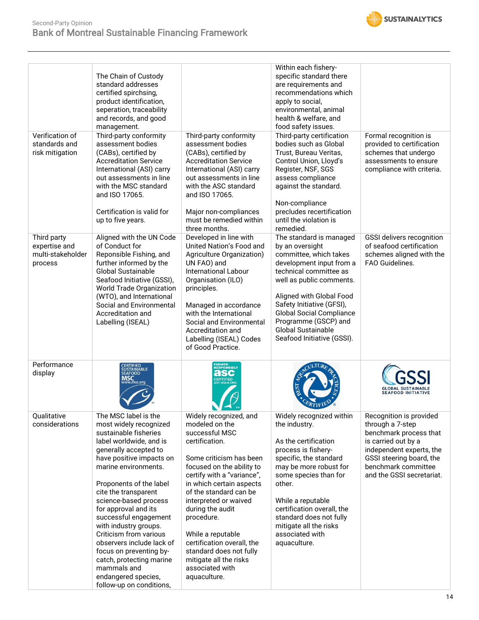

| Verification of<br>standards and<br>risk mitigation          | The Chain of Custody<br>standard addresses<br>certified spirchsing,<br>product identification,<br>seperation, traceability<br>and records, and good<br>management.<br>Third-party conformity<br>assessment bodies<br>(CABs), certified by<br><b>Accreditation Service</b><br>International (ASI) carry<br>out assessments in line<br>with the MSC standard<br>and ISO 17065.<br>Certification is valid for<br>up to five years.                                                                                       | Third-party conformity<br>assessment bodies<br>(CABs), certified by<br><b>Accreditation Service</b><br>International (ASI) carry<br>out assessments in line<br>with the ASC standard<br>and ISO 17065.<br>Major non-compliances<br>must be remedied within<br>three months.                                                                                                                                                    | Within each fishery-<br>specific standard there<br>are requirements and<br>recommendations which<br>apply to social,<br>environmental, animal<br>health & welfare, and<br>food safety issues.<br>Third-party certification<br>bodies such as Global<br>Trust, Bureau Veritas,<br>Control Union, Lloyd's<br>Register, NSF, SGS<br>assess compliance<br>against the standard.<br>Non-compliance<br>precludes recertification<br>until the violation is<br>remedied. | Formal recognition is<br>provided to certification<br>schemes that undergo<br>assessments to ensure<br>compliance with criteria.                                                                         |
|--------------------------------------------------------------|-----------------------------------------------------------------------------------------------------------------------------------------------------------------------------------------------------------------------------------------------------------------------------------------------------------------------------------------------------------------------------------------------------------------------------------------------------------------------------------------------------------------------|--------------------------------------------------------------------------------------------------------------------------------------------------------------------------------------------------------------------------------------------------------------------------------------------------------------------------------------------------------------------------------------------------------------------------------|-------------------------------------------------------------------------------------------------------------------------------------------------------------------------------------------------------------------------------------------------------------------------------------------------------------------------------------------------------------------------------------------------------------------------------------------------------------------|----------------------------------------------------------------------------------------------------------------------------------------------------------------------------------------------------------|
| Third party<br>expertise and<br>multi-stakeholder<br>process | Aligned with the UN Code<br>of Conduct for<br>Reponsible Fishing, and<br>further informed by the<br><b>Global Sustainable</b><br>Seafood Initiative (GSSI),<br><b>World Trade Organization</b><br>(WTO), and International<br>Social and Environmental<br>Accreditation and<br>Labelling (ISEAL)                                                                                                                                                                                                                      | Developed in line with<br>United Nation's Food and<br>Agriculture Organization)<br>UN FAO) and<br>International Labour<br>Organisation (ILO)<br>principles.<br>Managed in accordance<br>with the International<br>Social and Environmental<br>Accreditation and<br>Labelling (ISEAL) Codes<br>of Good Practice.                                                                                                                | The standard is managed<br>by an oversight<br>committee, which takes<br>development input from a<br>technical committee as<br>well as public comments.<br>Aligned with Global Food<br>Safety Initiative (GFSI),<br><b>Global Social Compliance</b><br>Programme (GSCP) and<br><b>Global Sustainable</b><br>Seafood Initiative (GSSI).                                                                                                                             | GSSI delivers recognition<br>of seafood certification<br>schemes aligned with the<br>FAO Guidelines.                                                                                                     |
| Performance<br>display                                       | SUSTAINABLE<br>SEAFOOD                                                                                                                                                                                                                                                                                                                                                                                                                                                                                                | asc<br>CERTIFIED                                                                                                                                                                                                                                                                                                                                                                                                               |                                                                                                                                                                                                                                                                                                                                                                                                                                                                   | <b>EAFOOD INITIATIVE</b>                                                                                                                                                                                 |
| Qualitative<br>considerations                                | The MSC label is the<br>most widely recognized<br>sustainable fisheries<br>label worldwide, and is<br>generally accepted to<br>have positive impacts on<br>marine environments.<br>Proponents of the label<br>cite the transparent<br>science-based process<br>for approval and its<br>successful engagement<br>with industry groups.<br>Criticism from various<br>observers include lack of<br>focus on preventing by-<br>catch, protecting marine<br>mammals and<br>endangered species,<br>follow-up on conditions, | Widely recognized, and<br>modeled on the<br>successful MSC<br>certification.<br>Some criticism has been<br>focused on the ability to<br>certify with a "variance",<br>in which certain aspects<br>of the standard can be<br>interpreted or waived<br>during the audit<br>procedure.<br>While a reputable<br>certification overall, the<br>standard does not fully<br>mitigate all the risks<br>associated with<br>aquaculture. | Widely recognized within<br>the industry.<br>As the certification<br>process is fishery-<br>specific, the standard<br>may be more robust for<br>some species than for<br>other.<br>While a reputable<br>certification overall, the<br>standard does not fully<br>mitigate all the risks<br>associated with<br>aquaculture.                                                                                                                                        | Recognition is provided<br>through a 7-step<br>benchmark process that<br>is carried out by a<br>independent experts, the<br>GSSI steering board, the<br>benchmark committee<br>and the GSSI secretariat. |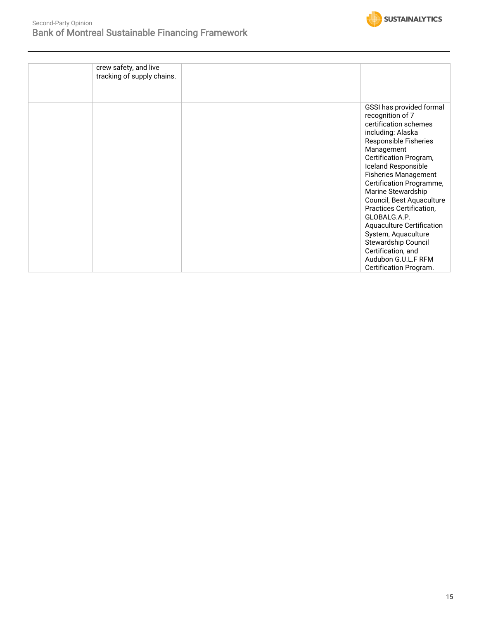

| crew safety, and live      |                                  |
|----------------------------|----------------------------------|
| tracking of supply chains. |                                  |
|                            |                                  |
|                            |                                  |
|                            |                                  |
|                            | GSSI has provided formal         |
|                            | recognition of 7                 |
|                            | certification schemes            |
|                            | including: Alaska                |
|                            | Responsible Fisheries            |
|                            | Management                       |
|                            | Certification Program,           |
|                            | Iceland Responsible              |
|                            | <b>Fisheries Management</b>      |
|                            | Certification Programme,         |
|                            | Marine Stewardship               |
|                            | Council, Best Aquaculture        |
|                            | Practices Certification,         |
|                            | GLOBALG.A.P.                     |
|                            | <b>Aquaculture Certification</b> |
|                            | System, Aquaculture              |
|                            | Stewardship Council              |
|                            | Certification, and               |
|                            |                                  |
|                            | Audubon G.U.L.F RFM              |
|                            | Certification Program.           |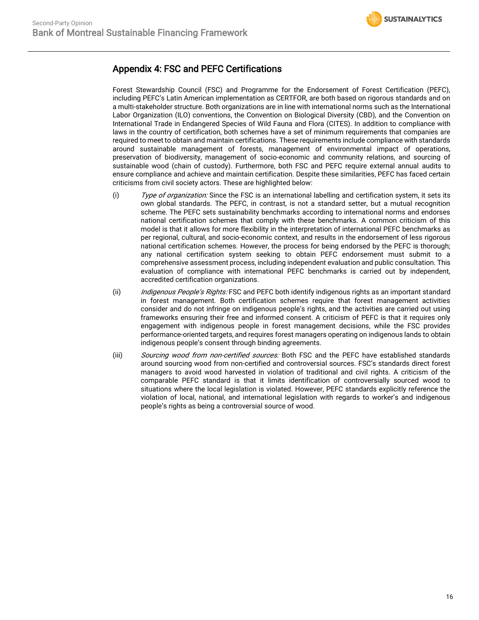### Appendix 4: FSC and PEFC Certifications

Forest Stewardship Council (FSC) and Programme for the Endorsement of Forest Certification (PEFC), including PEFC's Latin American implementation as CERTFOR, are both based on rigorous standards and on a multi-stakeholder structure. Both organizations are in line with international norms such as the International Labor Organization (ILO) conventions, the Convention on Biological Diversity (CBD), and the Convention on International Trade in Endangered Species of Wild Fauna and Flora (CITES). In addition to compliance with laws in the country of certification, both schemes have a set of minimum requirements that companies are required to meet to obtain and maintain certifications. These requirements include compliance with standards around sustainable management of forests, management of environmental impact of operations, preservation of biodiversity, management of socio-economic and community relations, and sourcing of sustainable wood (chain of custody). Furthermore, both FSC and PEFC require external annual audits to ensure compliance and achieve and maintain certification. Despite these similarities, PEFC has faced certain criticisms from civil society actors. These are highlighted below:

- (i) Type of organization: Since the FSC is an international labelling and certification system, it sets its own global standards. The PEFC, in contrast, is not a standard setter, but a mutual recognition scheme. The PEFC sets sustainability benchmarks according to international norms and endorses national certification schemes that comply with these benchmarks. A common criticism of this model is that it allows for more flexibility in the interpretation of international PEFC benchmarks as per regional, cultural, and socio-economic context, and results in the endorsement of less rigorous national certification schemes. However, the process for being endorsed by the PEFC is thorough; any national certification system seeking to obtain PEFC endorsement must submit to a comprehensive assessment process, including independent evaluation and public consultation. This evaluation of compliance with international PEFC benchmarks is carried out by independent, accredited certification organizations.
- (ii) Indigenous People's Rights: FSC and PEFC both identify indigenous rights as an important standard in forest management. Both certification schemes require that forest management activities consider and do not infringe on indigenous people's rights, and the activities are carried out using frameworks ensuring their free and informed consent. A criticism of PEFC is that it requires only engagement with indigenous people in forest management decisions, while the FSC provides performance-oriented targets, and requires forest managers operating on indigenous lands to obtain indigenous people's consent through binding agreements.
- (iii) Sourcing wood from non-certified sources: Both FSC and the PEFC have established standards around sourcing wood from non-certified and controversial sources. FSC's standards direct forest managers to avoid wood harvested in violation of traditional and civil rights. A criticism of the comparable PEFC standard is that it limits identification of controversially sourced wood to situations where the local legislation is violated. However, PEFC standards explicitly reference the violation of local, national, and international legislation with regards to worker's and indigenous people's rights as being a controversial source of wood.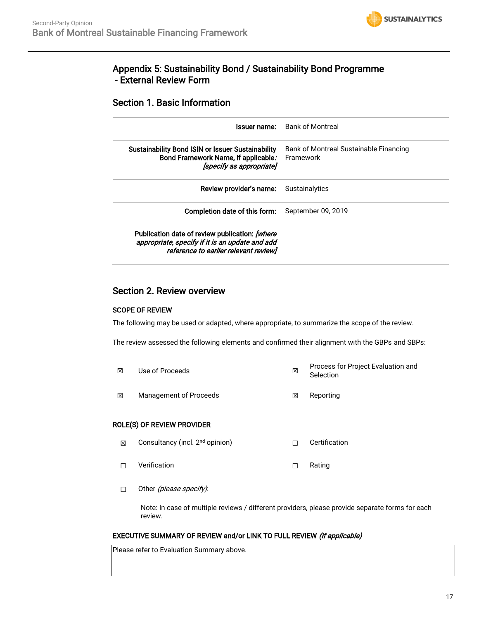

### Appendix 5: Sustainability Bond / Sustainability Bond Programme - External Review Form

### Section 1. Basic Information

| Issuer name:                                                                                                                               | Bank of Montreal                                    |
|--------------------------------------------------------------------------------------------------------------------------------------------|-----------------------------------------------------|
| <b>Sustainability Bond ISIN or Issuer Sustainability</b><br>Bond Framework Name, if applicable.<br>[specify as appropriate]                | Bank of Montreal Sustainable Financing<br>Framework |
| Review provider's name:                                                                                                                    | Sustainalytics                                      |
| Completion date of this form:                                                                                                              | September 09, 2019                                  |
| Publication date of review publication: [where<br>appropriate, specify if it is an update and add<br>reference to earlier relevant review] |                                                     |

### Section 2. Review overview

### SCOPE OF REVIEW

The following may be used or adapted, where appropriate, to summarize the scope of the review.

The review assessed the following elements and confirmed their alignment with the GBPs and SBPs:

☒ Use of Proceeds ☒ Process for Project Evaluation and **Selection ⊠** Management of Proceeds <br> **I I** Reporting

### ROLE(S) OF REVIEW PROVIDER

- ⊠ Consultancy (incl. 2<sup>nd</sup> opinion) □ □ Certification
- ☐ Verification ☐ Rating
- □ Other (*please specify)*:

Note: In case of multiple reviews / different providers, please provide separate forms for each review.

### EXECUTIVE SUMMARY OF REVIEW and/or LINK TO FULL REVIEW (if applicable)

Please refer to Evaluation Summary above.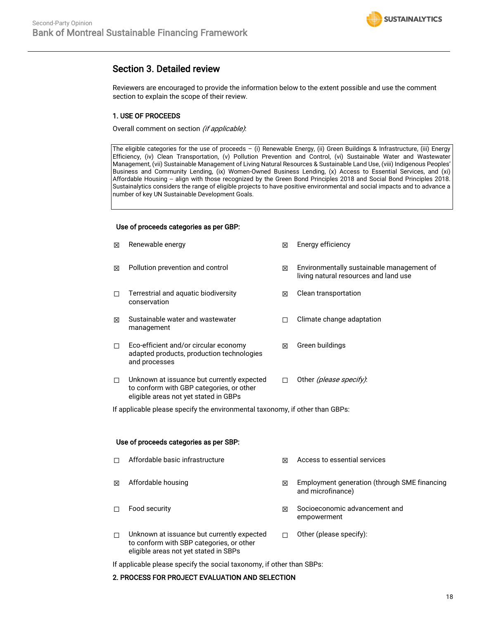

### Section 3. Detailed review

Reviewers are encouraged to provide the information below to the extent possible and use the comment section to explain the scope of their review.

### 1. USE OF PROCEEDS

Overall comment on section (if applicable):

The eligible categories for the use of proceeds – (i) Renewable Energy, (ii) Green Buildings & Infrastructure, (iii) Energy Efficiency, (iv) Clean Transportation, (v) Pollution Prevention and Control, (vi) Sustainable Water and Wastewater Management, (vii) Sustainable Management of Living Natural Resources & Sustainable Land Use, (viii) Indigenous Peoples' Business and Community Lending, (ix) Women-Owned Business Lending, (x) Access to Essential Services, and (xi) Affordable Housing -- align with those recognized by the Green Bond Principles 2018 and Social Bond Principles 2018. Sustainalytics considers the range of eligible projects to have positive environmental and social impacts and to advance a number of key UN Sustainable Development Goals.

#### Use of proceeds categories as per GBP:

| 冈 | Renewable energy                                                                                                                | 冈 | Energy efficiency                                                                  |
|---|---------------------------------------------------------------------------------------------------------------------------------|---|------------------------------------------------------------------------------------|
| 冈 | Pollution prevention and control                                                                                                | ⊠ | Environmentally sustainable management of<br>living natural resources and land use |
| п | Terrestrial and aquatic biodiversity<br>conservation                                                                            | ⊠ | Clean transportation                                                               |
| X | Sustainable water and wastewater<br>management                                                                                  | П | Climate change adaptation                                                          |
| □ | Eco-efficient and/or circular economy<br>adapted products, production technologies<br>and processes                             | ⊠ | Green buildings                                                                    |
| П | Unknown at issuance but currently expected<br>to conform with GBP categories, or other<br>eligible areas not yet stated in GBPs | п | Other (please specify).                                                            |

If applicable please specify the environmental taxonomy, if other than GBPs:

#### Use of proceeds categories as per SBP:

| п | Affordable basic infrastructure                                                        | ⊠ | Access to essential services                                      |
|---|----------------------------------------------------------------------------------------|---|-------------------------------------------------------------------|
| 冈 | Affordable housing                                                                     | ⊠ | Employment generation (through SME financing<br>and microfinance) |
| п | Food security                                                                          | ⊠ | Socioeconomic advancement and<br>empowerment                      |
| п | Unknown at issuance but currently expected<br>to conform with SBP categories, or other |   | Other (please specify):                                           |

If applicable please specify the social taxonomy, if other than SBPs:

#### 2. PROCESS FOR PROJECT EVALUATION AND SELECTION

eligible areas not yet stated in SBPs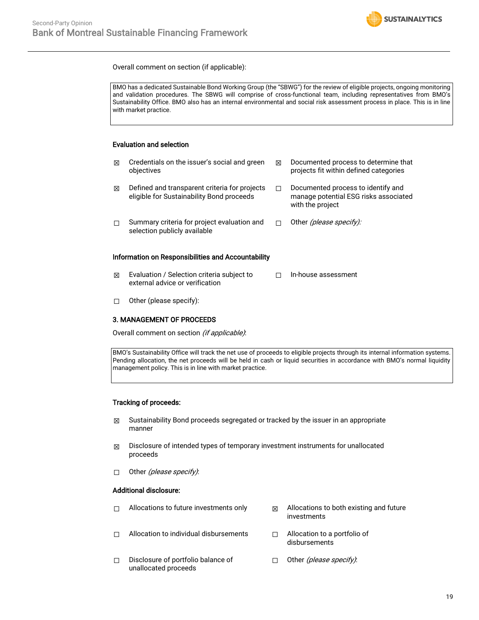

Overall comment on section (if applicable):

BMO has a dedicated Sustainable Bond Working Group (the "SBWG") for the review of eligible projects, ongoing monitoring and validation procedures. The SBWG will comprise of cross-functional team, including representatives from BMO's Sustainability Office. BMO also has an internal environmental and social risk assessment process in place. This is in line with market practice.

### Evaluation and selection

| ⊠                                                  | Credentials on the issuer's social and green<br>objectives                                 | ⊠ | Documented process to determine that<br>projects fit within defined categories                  |  |  |  |  |  |
|----------------------------------------------------|--------------------------------------------------------------------------------------------|---|-------------------------------------------------------------------------------------------------|--|--|--|--|--|
| ⊠                                                  | Defined and transparent criteria for projects<br>eligible for Sustainability Bond proceeds | П | Documented process to identify and<br>manage potential ESG risks associated<br>with the project |  |  |  |  |  |
| П                                                  | Summary criteria for project evaluation and<br>selection publicly available                | П | Other (please specify):                                                                         |  |  |  |  |  |
| Information on Responsibilities and Accountability |                                                                                            |   |                                                                                                 |  |  |  |  |  |

- ☒ Evaluation / Selection criteria subject to external advice or verification ☐ In-house assessment
- ☐ Other (please specify):

#### 3. MANAGEMENT OF PROCEEDS

Overall comment on section (if applicable).

BMO's Sustainability Office will track the net use of proceeds to eligible projects through its internal information systems. Pending allocation, the net proceeds will be held in cash or liquid securities in accordance with BMO's normal liquidity management policy. This is in line with market practice.

#### Tracking of proceeds:

- $\boxtimes$  Sustainability Bond proceeds segregated or tracked by the issuer in an appropriate manner
- $\boxtimes$  Disclosure of intended types of temporary investment instruments for unallocated proceeds
- □ Other *(please specify)*:

#### Additional disclosure:

- $\Box$  Allocations to future investments only  $\boxtimes$  Allocations to both existing and future
- **□** Allocation to individual disbursements □ Allocation to a portfolio of
- investments
	- disbursements
- ☐ Disclosure of portfolio balance of unallocated proceeds □ Other (please specify):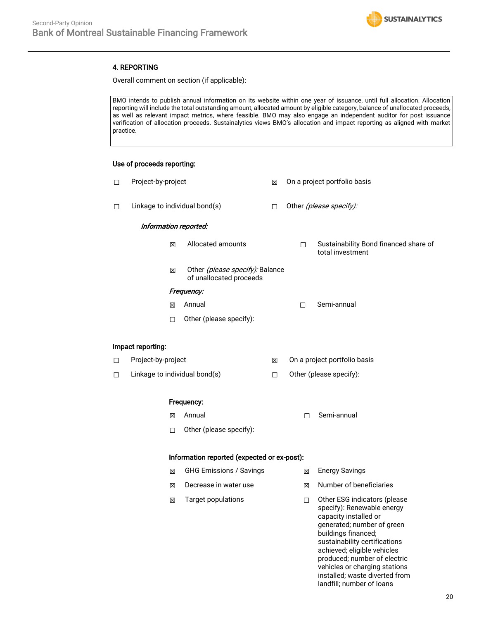

### 4. REPORTING

Overall comment on section (if applicable):

BMO intends to publish annual information on its website within one year of issuance, until full allocation. Allocation reporting will include the total outstanding amount, allocated amount by eligible category, balance of unallocated proceeds, as well as relevant impact metrics, where feasible. BMO may also engage an independent auditor for post issuance verification of allocation proceeds. Sustainalytics views BMO's allocation and impact reporting as aligned with market practice.

### Use of proceeds reporting:

| □      | Project-by-project            |                                                            | 図      | On a project portfolio basis |                                                                                                                                                                                                                                          |  |  |  |  |
|--------|-------------------------------|------------------------------------------------------------|--------|------------------------------|------------------------------------------------------------------------------------------------------------------------------------------------------------------------------------------------------------------------------------------|--|--|--|--|
| □      | Linkage to individual bond(s) |                                                            | $\Box$ | Other (please specify):      |                                                                                                                                                                                                                                          |  |  |  |  |
|        | Information reported:         |                                                            |        |                              |                                                                                                                                                                                                                                          |  |  |  |  |
|        | 図                             | Allocated amounts                                          |        | П                            | Sustainability Bond financed share of<br>total investment                                                                                                                                                                                |  |  |  |  |
|        | 区                             | Other (please specify): Balance<br>of unallocated proceeds |        |                              |                                                                                                                                                                                                                                          |  |  |  |  |
|        |                               | Frequency:                                                 |        |                              |                                                                                                                                                                                                                                          |  |  |  |  |
|        | 冈                             | Annual                                                     |        | П                            | Semi-annual                                                                                                                                                                                                                              |  |  |  |  |
|        | □                             | Other (please specify):                                    |        |                              |                                                                                                                                                                                                                                          |  |  |  |  |
|        | Impact reporting:             |                                                            |        |                              |                                                                                                                                                                                                                                          |  |  |  |  |
| $\Box$ | Project-by-project            |                                                            | 区      | On a project portfolio basis |                                                                                                                                                                                                                                          |  |  |  |  |
| □      | Linkage to individual bond(s) |                                                            | $\Box$ | Other (please specify):      |                                                                                                                                                                                                                                          |  |  |  |  |
|        |                               | Frequency:                                                 |        |                              |                                                                                                                                                                                                                                          |  |  |  |  |
|        | 図                             | Annual                                                     |        | П                            | Semi-annual                                                                                                                                                                                                                              |  |  |  |  |
|        | □                             | Other (please specify):                                    |        |                              |                                                                                                                                                                                                                                          |  |  |  |  |
|        |                               | Information reported (expected or ex-post):                |        |                              |                                                                                                                                                                                                                                          |  |  |  |  |
|        | X                             | <b>GHG Emissions / Savings</b>                             |        | ⊠                            | <b>Energy Savings</b>                                                                                                                                                                                                                    |  |  |  |  |
|        | 図                             | Decrease in water use                                      |        | 図                            | Number of beneficiaries                                                                                                                                                                                                                  |  |  |  |  |
|        | 図                             | <b>Target populations</b>                                  |        | □                            | Other ESG indicators (please<br>specify): Renewable energy<br>capacity installed or<br>generated; number of green<br>buildings financed;<br>sustainability certifications<br>achieved; eligible vehicles<br>produced; number of electric |  |  |  |  |

vehicles or charging stations installed; waste diverted from landfill; number of loans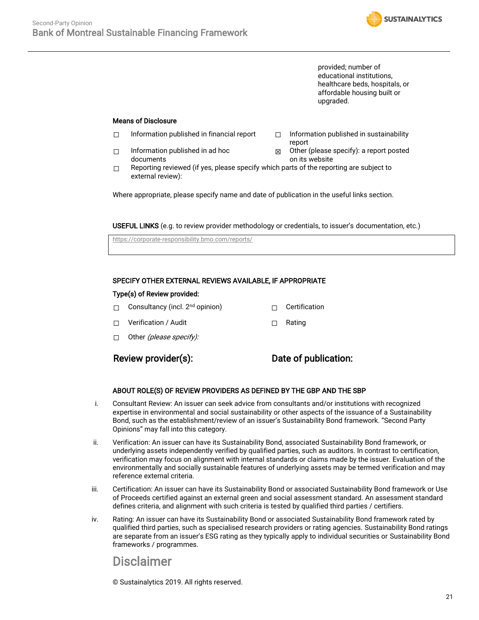

provided; number of educational institutions, healthcare beds, hospitals, or affordable housing built or upgraded.

### Means of Disclosure

- ☐ Information published in financial report ☐ Information published in sustainability
- ☐ Information published in ad hoc documents
- report
- ☒ Other (please specify): a report posted on its website
- $\Box$  Reporting reviewed (if yes, please specify which parts of the reporting are subject to external review):

Where appropriate, please specify name and date of publication in the useful links section.

USEFUL LINKS (e.g. to review provider methodology or credentials, to issuer's documentation, etc.)

<https://corporate-responsibility.bmo.com/reports/>

### SPECIFY OTHER EXTERNAL REVIEWS AVAILABLE, IF APPROPRIATE

#### Type(s) of Review provided:

- □ Consultancy (incl. 2<sup>nd</sup> opinion) □ □ Certification
- ☐ Verification / Audit ☐ Rating
- $\Box$  Other (please specify):

### Review provider(s): Date of publication:

#### ABOUT ROLE(S) OF REVIEW PROVIDERS AS DEFINED BY THE GBP AND THE SBP

- i. Consultant Review: An issuer can seek advice from consultants and/or institutions with recognized expertise in environmental and social sustainability or other aspects of the issuance of a Sustainability Bond, such as the establishment/review of an issuer's Sustainability Bond framework. "Second Party Opinions" may fall into this category.
- ii. Verification: An issuer can have its Sustainability Bond, associated Sustainability Bond framework, or underlying assets independently verified by qualified parties, such as auditors. In contrast to certification, verification may focus on alignment with internal standards or claims made by the issuer. Evaluation of the environmentally and socially sustainable features of underlying assets may be termed verification and may reference external criteria.
- iii. Certification: An issuer can have its Sustainability Bond or associated Sustainability Bond framework or Use of Proceeds certified against an external green and social assessment standard. An assessment standard defines criteria, and alignment with such criteria is tested by qualified third parties / certifiers.
- iv. Rating: An issuer can have its Sustainability Bond or associated Sustainability Bond framework rated by qualified third parties, such as specialised research providers or rating agencies. Sustainability Bond ratings are separate from an issuer's ESG rating as they typically apply to individual securities or Sustainability Bond frameworks / programmes.

### Disclaimer

© Sustainalytics 2019. All rights reserved.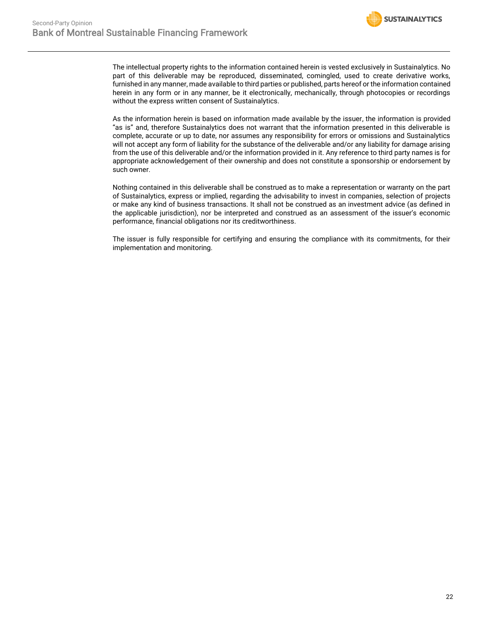

The intellectual property rights to the information contained herein is vested exclusively in Sustainalytics. No part of this deliverable may be reproduced, disseminated, comingled, used to create derivative works, furnished in any manner, made available to third parties or published, parts hereof or the information contained herein in any form or in any manner, be it electronically, mechanically, through photocopies or recordings without the express written consent of Sustainalytics.

As the information herein is based on information made available by the issuer, the information is provided "as is" and, therefore Sustainalytics does not warrant that the information presented in this deliverable is complete, accurate or up to date, nor assumes any responsibility for errors or omissions and Sustainalytics will not accept any form of liability for the substance of the deliverable and/or any liability for damage arising from the use of this deliverable and/or the information provided in it. Any reference to third party names is for appropriate acknowledgement of their ownership and does not constitute a sponsorship or endorsement by such owner.

Nothing contained in this deliverable shall be construed as to make a representation or warranty on the part of Sustainalytics, express or implied, regarding the advisability to invest in companies, selection of projects or make any kind of business transactions. It shall not be construed as an investment advice (as defined in the applicable jurisdiction), nor be interpreted and construed as an assessment of the issuer's economic performance, financial obligations nor its creditworthiness.

The issuer is fully responsible for certifying and ensuring the compliance with its commitments, for their implementation and monitoring.